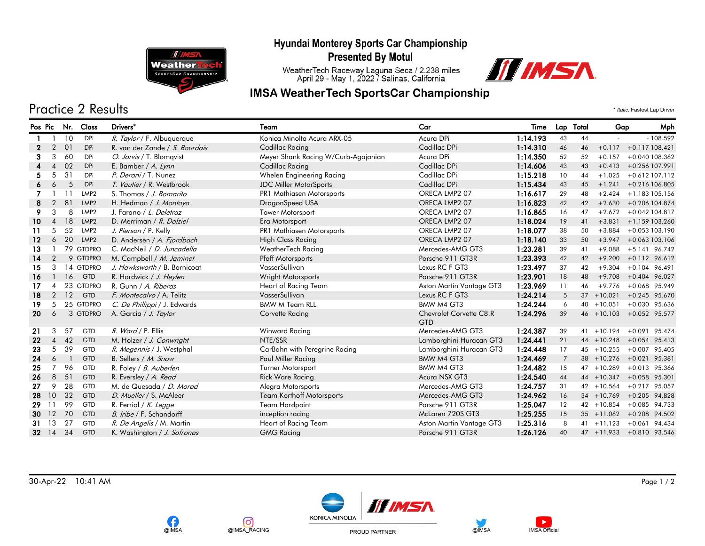# Hyundai Monterey Sports Car Championship



#### **Presented By Motul**

WeatherTech Raceway Laguna Seca / 2.238 miles<br>April 29 - May 1, 2022 / Salinas, California

### **IMSA WeatherTech SportsCar Championship**



# Practice 2 Results \* *Italic:* Fastest Lap Driver

| Pos Pic   |                          | Nr. | Class            | Drivers*                       | Team                                | Car                                   | Time     | Lap Total      |    | Gap           | Mph                      |
|-----------|--------------------------|-----|------------------|--------------------------------|-------------------------------------|---------------------------------------|----------|----------------|----|---------------|--------------------------|
|           |                          | 10  | <b>DPi</b>       | R. Taylor / F. Albuquerque     | Konica Minolta Acura ARX-05         | Acura DPi                             | 1:14.193 | 43             | 44 |               | $-108.592$               |
| 2         | $\overline{2}$           | 01  | <b>DPi</b>       | R. van der Zande / S. Bourdais | Cadillac Racing                     | Cadillac DPi                          | 1:14.310 | 46             | 46 |               | $+0.117 + 0.117108.421$  |
|           | 3                        | 60  | DPi              | O. Jarvis / T. Blomqvist       | Meyer Shank Racing W/Curb-Agajanian | Acura DPi                             | 1:14.350 | 52             | 52 | $+0.157$      | +0.040 108.362           |
|           | $\boldsymbol{\Lambda}$   | 02  | <b>DPi</b>       | E. Bamber / A. Lynn            | Cadillac Racing                     | Cadillac DPi                          | 1:14.606 | 43             | 43 |               | $+0.413 + 0.256107.991$  |
|           | .5                       | 31  | <b>DPi</b>       | P. Derani / T. Nunez           | Whelen Engineering Racing           | Cadillac DPi                          | 1:15.218 | 10             | 44 |               | $+1.025 + 0.612$ 107.112 |
|           | 6                        | 5   | DPi              | T. Vautier / R. Westbrook      | <b>JDC Miller MotorSports</b>       | Cadillac DPi                          | 1:15.434 | 43             | 45 |               | $+1.241 + 0.216106.805$  |
|           |                          |     | LMP <sub>2</sub> | S. Thomas / J. Bomarito        | PR1 Mathiasen Motorsports           | ORECA LMP2 07                         | 1:16.617 | 29             | 48 | $+2.424$      | $+1.183$ 105.156         |
| 8         | 2                        | 81  | LMP <sub>2</sub> | H. Hedman / J. Montoya         | DragonSpeed USA                     | ORECA LMP2 07                         | 1:16.823 | 42             | 42 |               | $+2.630 + 0.206104.874$  |
| 9         | 3                        | 8   | LMP <sub>2</sub> | J. Farano / L. Deletraz        | Tower Motorsport                    | ORECA LMP2 07                         | 1:16.865 | 16             | 47 |               | $+2.672 + 0.042104.817$  |
| 10        | $\overline{A}$           | 18  | LMP <sub>2</sub> | D. Merriman / R. Dalziel       | Era Motorsport                      | ORECA LMP2 07                         | 1:18.024 | 19             | 41 | $+3.831$      | +1.159 103.260           |
| 11        | 5                        | 52  | LMP <sub>2</sub> | J. Pierson / P. Kelly          | PR1 Mathiasen Motorsports           | ORECA LMP2 07                         | 1:18.077 | 38             | 50 | $+3.884$      | +0.053 103.190           |
| $12 \,$   | 6                        | 20  | LMP <sub>2</sub> | D. Andersen / A. Fjordbach     | <b>High Class Racing</b>            | ORECA LMP2 07                         | 1:18.140 | 33             | 50 |               | $+3.947 + 0.063103.106$  |
| 13        |                          |     | 79 GTDPRO        | C. MacNeil / D. Juncadella     | WeatherTech Racing                  | Mercedes-AMG GT3                      | 1:23.281 | 39             | 41 | $+9.088$      | $+5.141$ 96.742          |
| 14        | $\overline{2}$           |     | 9 GTDPRO         | M. Campbell / M. Jaminet       | <b>Pfaff Motorsports</b>            | Porsche 911 GT3R                      | 1:23.393 | 42             | 42 | $+9.200$      | $+0.112$ 96.612          |
| 15        | 3                        |     | 14 GTDPRO        | J. Hawksworth / B. Barnicoat   | VasserSullivan                      | Lexus RC F GT3                        | 1:23.497 | 37             | 42 | $+9.304$      | $+0.104$ 96.491          |
| 16        |                          | 16  | <b>GTD</b>       | R. Hardwick / J. Heylen        | Wright Motorsports                  | Porsche 911 GT3R                      | 1:23.901 | 18             | 48 | $+9.708$      | $+0.404$ 96.027          |
| 17        | $\boldsymbol{\varDelta}$ |     | 23 GTDPRO        | R. Gunn / A. Riberas           | Heart of Racing Team                | Aston Martin Vantage GT3              | 1:23.969 | 11             | 46 | $+9.776$      | $+0.068$ 95.949          |
| 18        | $\overline{2}$           | 12  | <b>GTD</b>       | F. Montecalvo / A. Telitz      | VasserSullivan                      | Lexus RC F GT3                        | 1:24.214 | 5              |    | $37 + 10.021$ | +0.245 95.670            |
| 19        | 5                        |     | 25 GTDPRO        | C. De Phillippi / J. Edwards   | <b>BMW M Team RLL</b>               | BMW M4 GT3                            | 1:24.244 | 6              |    | $40 + 10.051$ | $+0.030$ 95.636          |
| 20        | 6                        |     | 3 GTDPRO         | A. Garcia / J. Taylor          | Corvette Racing                     | Chevrolet Corvette C8.R<br><b>GTD</b> | 1:24.296 | 39             |    | $46 + 10.103$ | $+0.052$ 95.577          |
| 21        | 3                        | 57  | <b>GTD</b>       | R. Ward / P. Ellis             | Winward Racing                      | Mercedes-AMG GT3                      | 1:24.387 | 39             | 41 | $+10.194$     | $+0.091$<br>95.474       |
| 22        | $\overline{4}$           | 42  | <b>GTD</b>       | M. Holzer / J. Conwright       | NTE/SSR                             | Lamborghini Huracan GT3               | 1:24.441 | 21             |    | $44 + 10.248$ | $+0.054$<br>95.413       |
| 23        | 5                        | 39  | GTD              | R. Megennis / J. Westphal      | CarBahn with Peregrine Racing       | Lamborghini Huracan GT3               | 1:24.448 | 17             |    | $45 + 10.255$ | $+0.007$<br>95.405       |
| 24        | 6                        |     | <b>GTD</b>       | B. Sellers / M. Snow           | Paul Miller Racing                  | BMW M4 GT3                            | 1:24.469 | $\overline{7}$ |    | $38 + 10.276$ | $+0.021$<br>95.381       |
| 25        | 7                        | 96  | <b>GTD</b>       | R. Foley / B. Auberlen         | <b>Turner Motorsport</b>            | BMW M4 GT3                            | 1:24.482 | 15             |    | 47 +10.289    | $+0.013$ 95.366          |
| 26        | 8                        | 51  | <b>GTD</b>       | R. Eversley / A. Read          | <b>Rick Ware Racing</b>             | Acura NSX GT3                         | 1:24.540 | 44             |    | 44 +10.347    | $+0.058$ 95.301          |
| 27        | 9                        | 28  | <b>GTD</b>       | M. de Quesada / D. Morad       | Alegra Motorsports                  | Mercedes-AMG GT3                      | 1:24.757 | 31             |    | $42 + 10.564$ | $+0.217$<br>95.057       |
| 28        | 10                       | 32  | <b>GTD</b>       | D. Mueller / S. McAleer        | <b>Team Korthoff Motorsports</b>    | Mercedes-AMG GT3                      | 1:24.962 | 16             |    | $34 + 10.769$ | $+0.205$ 94.828          |
| 29        | -11                      | 99  | <b>GTD</b>       | R. Ferriol / K. Legge          | <b>Team Hardpoint</b>               | Porsche 911 GT3R                      | 1:25.047 | 12             |    | $42 + 10.854$ | $+0.085$<br>94.733       |
| 30        | <sup>12</sup>            | 70  | <b>GTD</b>       | B. Iribe / F. Schandorff       | inception racing                    | McLaren 720S GT3                      | 1:25.255 | 15             |    | $35 + 11.062$ | $+0.208$<br>94.502       |
| 31        | -13                      | 27  | <b>GTD</b>       | R. De Angelis / M. Martin      | Heart of Racing Team                | Aston Martin Vantage GT3              | 1:25.316 | 8              |    | $41 + 11.123$ | $+0.061$<br>94.434       |
| $32 \t14$ |                          | 34  | <b>GTD</b>       | K. Washington / J. Sofronas    | <b>GMG Racing</b>                   | Porsche 911 GT3R                      | 1:26.126 | 40             |    |               | 47 +11.933 +0.810 93.546 |



രി

@IMSA\_RACING

Œ

@IMSA